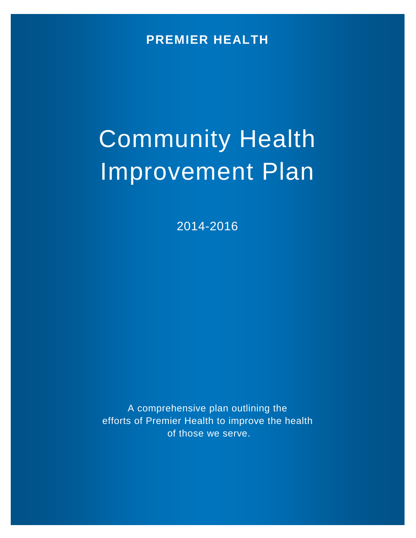**PREMIER HEALTH**

# Community Health Improvement Plan

2014-2016

A comprehensive plan outlining the efforts of Premier Health to improve the health of those we serve.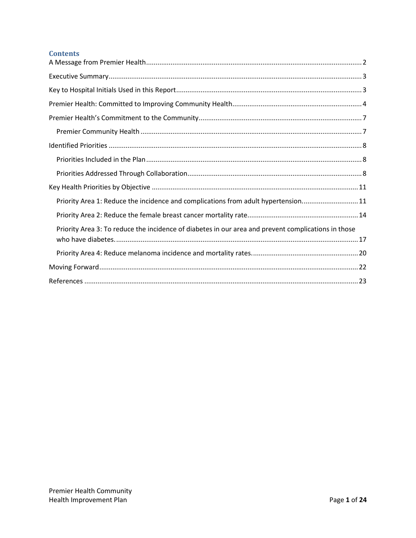# **Contents**

| Priority Area 1: Reduce the incidence and complications from adult hypertension 11                  |
|-----------------------------------------------------------------------------------------------------|
|                                                                                                     |
| Priority Area 3: To reduce the incidence of diabetes in our area and prevent complications in those |
|                                                                                                     |
|                                                                                                     |
|                                                                                                     |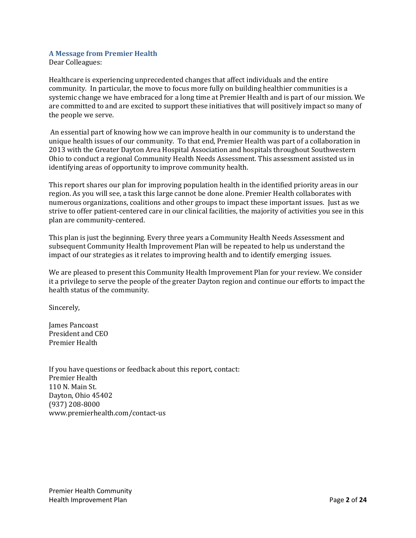#### <span id="page-2-0"></span>**A Message from Premier Health**

Dear Colleagues:

Healthcare is experiencing unprecedented changes that affect individuals and the entire community. In particular, the move to focus more fully on building healthier communities is a systemic change we have embraced for a long time at Premier Health and is part of our mission. We are committed to and are excited to support these initiatives that will positively impact so many of the people we serve.

An essential part of knowing how we can improve health in our community is to understand the unique health issues of our community. To that end, Premier Health was part of a collaboration in 2013 with the Greater Dayton Area Hospital Association and hospitals throughout Southwestern Ohio to conduct a regional Community Health Needs Assessment. This assessment assisted us in identifying areas of opportunity to improve community health.

This report shares our plan for improving population health in the identified priority areas in our region. As you will see, a task this large cannot be done alone. Premier Health collaborates with numerous organizations, coalitions and other groups to impact these important issues. Just as we strive to offer patient-centered care in our clinical facilities, the majority of activities you see in this plan are community-centered.

This plan is just the beginning. Every three years a Community Health Needs Assessment and subsequent Community Health Improvement Plan will be repeated to help us understand the impact of our strategies as it relates to improving health and to identify emerging issues.

We are pleased to present this Community Health Improvement Plan for your review. We consider it a privilege to serve the people of the greater Dayton region and continue our efforts to impact the health status of the community.

Sincerely,

James Pancoast President and CEO Premier Health

If you have questions or feedback about this report, contact: Premier Health 110 N. Main St. Dayton, Ohio 45402 (937) 208-8000 www.premierhealth.com/contact-us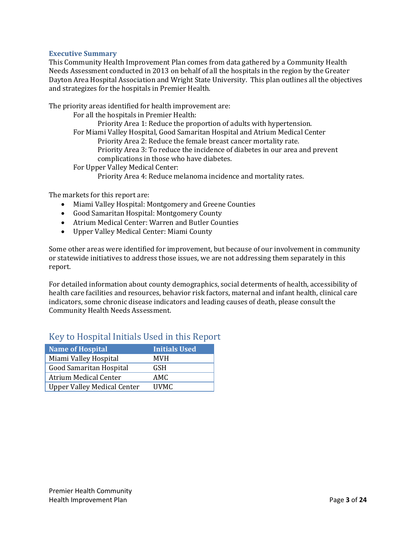#### <span id="page-3-0"></span>**Executive Summary**

This Community Health Improvement Plan comes from data gathered by a Community Health Needs Assessment conducted in 2013 on behalf of all the hospitals in the region by the Greater Dayton Area Hospital Association and Wright State University. This plan outlines all the objectives and strategizes for the hospitals in Premier Health.

The priority areas identified for health improvement are:

For all the hospitals in Premier Health:

Priority Area 1: Reduce the proportion of adults with hypertension.

For Miami Valley Hospital, Good Samaritan Hospital and Atrium Medical Center

Priority Area 2: Reduce the female breast cancer mortality rate.

Priority Area 3: To reduce the incidence of diabetes in our area and prevent complications in those who have diabetes.

For Upper Valley Medical Center:

Priority Area 4: Reduce melanoma incidence and mortality rates.

The markets for this report are:

- Miami Valley Hospital: Montgomery and Greene Counties
- Good Samaritan Hospital: Montgomery County
- Atrium Medical Center: Warren and Butler Counties
- Upper Valley Medical Center: Miami County

Some other areas were identified for improvement, but because of our involvement in community or statewide initiatives to address those issues, we are not addressing them separately in this report.

For detailed information about county demographics, social determents of health, accessibility of health care facilities and resources, behavior risk factors, maternal and infant health, clinical care indicators, some chronic disease indicators and leading causes of death, please consult the Community Health Needs Assessment.

| <b>Name of Hospital</b>            | <b>Initials Used</b> |
|------------------------------------|----------------------|
| Miami Valley Hospital              | <b>MVH</b>           |
| <b>Good Samaritan Hospital</b>     | <b>GSH</b>           |
| <b>Atrium Medical Center</b>       | AMC.                 |
| <b>Upper Valley Medical Center</b> | <b>IJVMC</b>         |

# <span id="page-3-1"></span>Key to Hospital Initials Used in this Report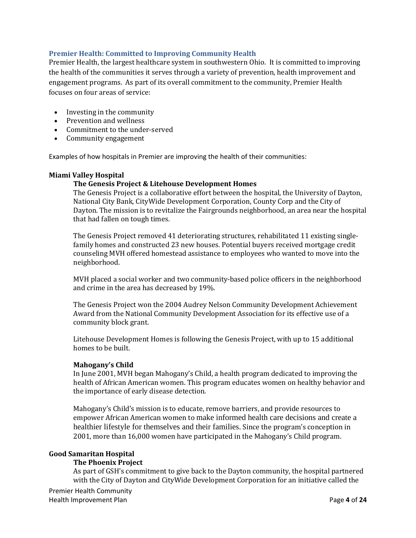## <span id="page-4-0"></span>**Premier Health: Committed to Improving Community Health**

Premier Health, the largest healthcare system in southwestern Ohio. It is committed to improving the health of the communities it serves through a variety of prevention, health improvement and engagement programs. As part of its overall commitment to the community, Premier Health focuses on four areas of service:

- [Investing in the community](http://www.miamivalleyhospital.org/WorkArea/linkit.aspx?LinkIdentifier=id&ItemID=10924)
- [Prevention and wellness](http://www.miamivalleyhospital.org/WorkArea/linkit.aspx?LinkIdentifier=id&ItemID=10922)<br>• Commitment to the unde
- [Commitment to the under-served](http://www.miamivalleyhospital.org/WorkArea/linkit.aspx?LinkIdentifier=id&ItemID=10918)
- [Community engagement](http://www.miamivalleyhospital.org/WorkArea/linkit.aspx?LinkIdentifier=id&ItemID=10916)

Examples of how hospitals in Premier are improving the health of their communities:

#### **Miami Valley Hospital**

#### **The Genesis Project & Litehouse Development Homes**

The Genesis Project is a collaborative effort between the hospital, the University of Dayton, National City Bank, CityWide Development Corporation, County Corp and the City of Dayton. The mission is to revitalize the Fairgrounds neighborhood, an area near the hospital that had fallen on tough times.

The Genesis Project removed 41 deteriorating structures, rehabilitated 11 existing singlefamily homes and constructed 23 new houses. Potential buyers received mortgage credit counseling MVH offered homestead assistance to employees who wanted to move into the neighborhood.

MVH placed a social worker and two community-based police officers in the neighborhood and crime in the area has decreased by 19%.

The Genesis Project won the 2004 Audrey Nelson Community Development Achievement Award from the National Community Development Association for its effective use of a community block grant.

Litehouse Development Homes is following the Genesis Project, with up to 15 additional homes to be built.

#### **Mahogany's Child**

In June 2001, MVH began Mahogany's Child, a health program dedicated to improving the health of African American women. This program educates women on healthy behavior and the importance of early disease detection.

Mahogany's Child's mission is to educate, remove barriers, and provide resources to empower African American women to make informed health care decisions and create a healthier lifestyle for themselves and their families. Since the program's conception in 2001, more than 16,000 women have participated in the Mahogany's Child program.

#### **Good Samaritan Hospital**

#### **The Phoenix Project**

As part of GSH's commitment to give back to the Dayton community, the hospital partnered with the City of Dayton and CityWide Development Corporation for an initiative called the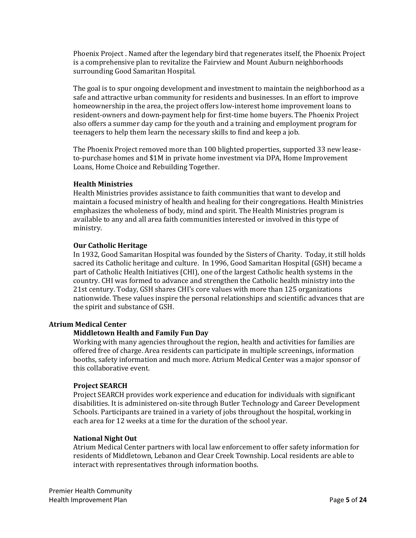[Phoenix Project](http://phoenixprojectdayton.org/) . Named after the legendary bird that regenerates itself, the Phoenix Project is a comprehensive plan to revitalize the Fairview and Mount Auburn neighborhoods surrounding Good Samaritan Hospital.

The goal is to spur ongoing development and investment to maintain the neighborhood as a safe and attractive urban community for residents and businesses. In an effort to improve homeownership in the area, the project offers low-interest home improvement loans to resident-owners and down-payment help for first-time home buyers. The Phoenix Project also offers a summer day camp for the youth and a training and employment program for teenagers to help them learn the necessary skills to find and keep a job.

The Phoenix Project removed more than 100 blighted properties, supported 33 new leaseto-purchase homes and \$1M in private home investment via DPA, Home Improvement Loans, Home Choice and Rebuilding Together.

#### **Health Ministries**

Health Ministries provides assistance to faith communities that want to develop and maintain a focused ministry of health and healing for their congregations. Health Ministries emphasizes the wholeness of body, mind and spirit. The Health Ministries program is available to any and all area faith communities interested or involved in this type of ministry.

#### **Our Catholic Heritage**

In 1932, Good Samaritan Hospital was founded by the Sisters of Charity. Today, it still holds sacred its Catholic heritage and culture. In 1996, Good Samaritan Hospital (GSH) became a part of Catholic Health Initiatives (CHI), one of the largest Catholic health systems in the country. CHI was formed to advance and strengthen the Catholic health ministry into the 21st century. Today, GSH shares CHI's core values with more than 125 organizations nationwide. These values inspire the personal relationships and scientific advances that are the spirit and substance of GSH.

#### **Atrium Medical Center**

#### **Middletown Health and Family Fun Day**

Working with many agencies throughout the region, health and activities for families are offered free of charge. Area residents can participate in multiple screenings, information booths, safety information and much more. Atrium Medical Center was a major sponsor of this collaborative event.

#### **Project SEARCH**

Project SEARCH provides work experience and education for individuals with significant disabilities. It is administered on-site through Butler Technology and Career Development Schools. Participants are trained in a variety of jobs throughout the hospital, working in each area for 12 weeks at a time for the duration of the school year.

#### **National Night Out**

Atrium Medical Center partners with local law enforcement to offer safety information for residents of Middletown, Lebanon and Clear Creek Township. Local residents are able to interact with representatives through information booths.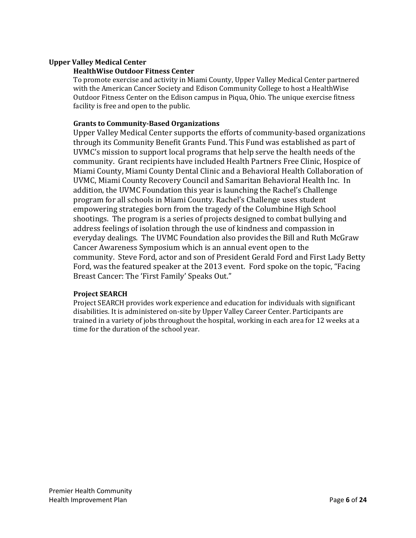## **Upper Valley Medical Center**

#### **HealthWise Outdoor Fitness Center**

To promote exercise and activity in Miami County, Upper Valley Medical Center partnered with the American Cancer Society and Edison Community College to host a HealthWise Outdoor Fitness Center on the Edison campus in Piqua, Ohio. The unique exercise fitness facility is free and open to the public.

## **Grants to Community-Based Organizations**

Upper Valley Medical Center supports the efforts of community-based organizations through its Community Benefit Grants Fund. This Fund was established as part of UVMC's mission to support local programs that help serve the health needs of the community. Grant recipients have included Health Partners Free Clinic, Hospice of Miami County, Miami County Dental Clinic and a Behavioral Health Collaboration of UVMC, Miami County Recovery Council and Samaritan Behavioral Health Inc. In addition, the UVMC Foundation this year is launching the Rachel's Challenge program for all schools in Miami County. Rachel's Challenge uses student empowering strategies born from the tragedy of the Columbine High School shootings. The program is a series of projects designed to combat bullying and address feelings of isolation through the use of kindness and compassion in everyday dealings. The UVMC Foundation also provides the Bill and Ruth McGraw Cancer Awareness Symposium which is an annual event open to the community. Steve Ford, actor and son of President Gerald Ford and First Lady Betty Ford, was the featured speaker at the 2013 event. Ford spoke on the topic, "Facing Breast Cancer: The 'First Family' Speaks Out."

#### **Project SEARCH**

Project SEARCH provides work experience and education for individuals with significant disabilities. It is administered on-site by Upper Valley Career Center. Participants are trained in a variety of jobs throughout the hospital, working in each area for 12 weeks at a time for the duration of the school year.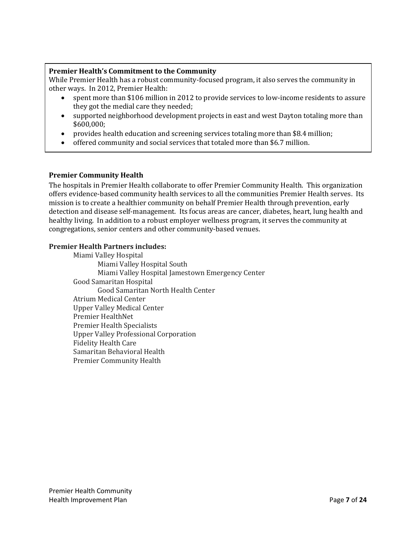## <span id="page-7-0"></span>**Premier Health's Commitment to the Community**

While Premier Health has a robust community-focused program, it also serves the community in other ways. In 2012, Premier Health:

- spent more than \$106 million in 2012 to provide services to low-income residents to assure they got the medial care they needed;
- supported neighborhood development projects in east and west Dayton totaling more than \$600,000;
- provides health education and screening services totaling more than \$8.4 million;
- <span id="page-7-1"></span>• offered community and social services that totaled more than \$6.7 million.

## **Premier Community Health**

The hospitals in Premier Health collaborate to offer Premier Community Health. This organization offers evidence-based community health services to all the communities Premier Health serves. Its mission is to create a healthier community on behalf Premier Health through prevention, early detection and disease self-management. Its focus areas are cancer, diabetes, heart, lung health and healthy living. In addition to a robust employer wellness program, it serves the community at congregations, senior centers and other community-based venues.

#### **Premier Health Partners includes:**

<span id="page-7-2"></span>Miami Valley Hospital Miami Valley Hospital South Miami Valley Hospital Jamestown Emergency Center Good Samaritan Hospital Good Samaritan North Health Center Atrium Medical Center Upper Valley Medical Center Premier HealthNet Premier Health Specialists Upper Valley Professional Corporation Fidelity Health Care Samaritan Behavioral Health Premier Community Health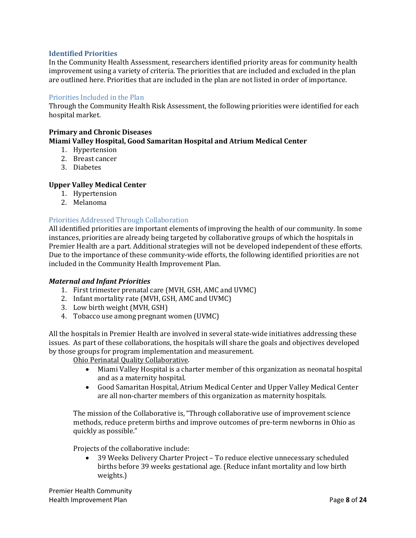#### **Identified Priorities**

In the Community Health Assessment, researchers identified priority areas for community health improvement using a variety of criteria. The priorities that are included and excluded in the plan are outlined here. Priorities that are included in the plan are not listed in order of importance.

#### <span id="page-8-0"></span>Priorities Included in the Plan

Through the Community Health Risk Assessment, the following priorities were identified for each hospital market.

#### **Primary and Chronic Diseases Miami Valley Hospital, Good Samaritan Hospital and Atrium Medical Center**

- 1. Hypertension
- 2. Breast cancer
- 3. Diabetes

#### **Upper Valley Medical Center**

- 1. Hypertension
- 2. Melanoma

#### <span id="page-8-1"></span>Priorities Addressed Through Collaboration

All identified priorities are important elements of improving the health of our community. In some instances, priorities are already being targeted by collaborative groups of which the hospitals in Premier Health are a part. Additional strategies will not be developed independent of these efforts. Due to the importance of these community-wide efforts, the following identified priorities are not included in the Community Health Improvement Plan.

#### *Maternal and Infant Priorities*

- 1. First trimester prenatal care (MVH, GSH, AMC and UVMC)
- 2. Infant mortality rate (MVH, GSH, AMC and UVMC)
- 3. Low birth weight (MVH, GSH)
- 4. Tobacco use among pregnant women (UVMC)

All the hospitals in Premier Health are involved in several state-wide initiatives addressing these issues. As part of these collaborations, the hospitals will share the goals and objectives developed by those groups for program implementation and measurement.

Ohio Perinatal Quality Collaborative.

- Miami Valley Hospital is a charter member of this organization as neonatal hospital and as a maternity hospital.
- Good Samaritan Hospital, Atrium Medical Center and Upper Valley Medical Center are all non-charter members of this organization as maternity hospitals.

The mission of the Collaborative is, "Through collaborative use of improvement science methods, reduce preterm births and improve outcomes of pre-term newborns in Ohio as quickly as possible."

Projects of the collaborative include:

• 39 Weeks Delivery Charter Project – To reduce elective unnecessary scheduled births before 39 weeks gestational age. (Reduce infant mortality and low birth weights.)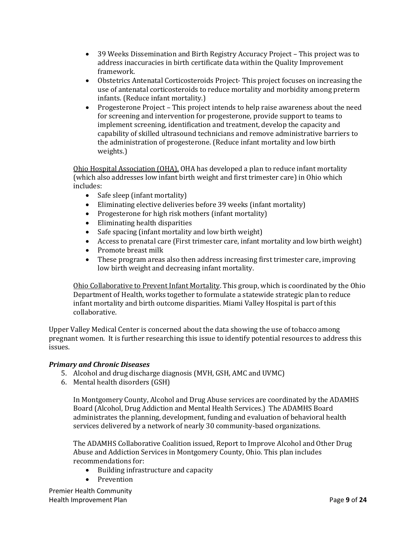- 39 Weeks Dissemination and Birth Registry Accuracy Project This project was to address inaccuracies in birth certificate data within the Quality Improvement framework.
- Obstetrics Antenatal Corticosteroids Project- This project focuses on increasing the use of antenatal corticosteroids to reduce mortality and morbidity among preterm infants. (Reduce infant mortality.)
- Progesterone Project This project intends to help raise awareness about the need for screening and intervention for progesterone, provide support to teams to implement screening, identification and treatment, develop the capacity and capability of skilled ultrasound technicians and remove administrative barriers to the administration of progesterone. (Reduce infant mortality and low birth weights.)

Ohio Hospital Association (OHA). OHA has developed a plan to reduce infant mortality (which also addresses low infant birth weight and first trimester care) in Ohio which includes:

- Safe sleep (infant mortality)
- Eliminating elective deliveries before 39 weeks (infant mortality)
- Progesterone for high risk mothers (infant mortality)<br>• Eliminating health disparities
- 
- Eliminating health disparities<br>• Safe spacing (infant mortality) Safe spacing (infant mortality and low birth weight)
- Access to prenatal care (First trimester care, infant mortality and low birth weight)
- Promote breast milk<br>• These program areas
- These program areas also then address increasing first trimester care, improving low birth weight and decreasing infant mortality.

Ohio Collaborative to Prevent Infant Mortality. This group, which is coordinated by the Ohio Department of Health, works together to formulate a statewide strategic plan to reduce infant mortality and birth outcome disparities. Miami Valley Hospital is part of this collaborative.

Upper Valley Medical Center is concerned about the data showing the use of tobacco among pregnant women. It is further researching this issue to identify potential resources to address this issues.

# *Primary and Chronic Diseases*

- 5. Alcohol and drug discharge diagnosis (MVH, GSH, AMC and UVMC)
- 6. Mental health disorders (GSH)

In Montgomery County, Alcohol and Drug Abuse services are coordinated by the ADAMHS Board (Alcohol, Drug Addiction and Mental Health Services.) The ADAMHS Board administrates the planning, development, funding and evaluation of behavioral health services delivered by a network of nearly 30 community-based organizations.

The ADAMHS Collaborative Coalition issued, Report to Improve Alcohol and Other Drug Abuse and Addiction Services in Montgomery County, Ohio. This plan includes recommendations for:<br>• Building infrast

- Building infrastructure and capacity
- Prevention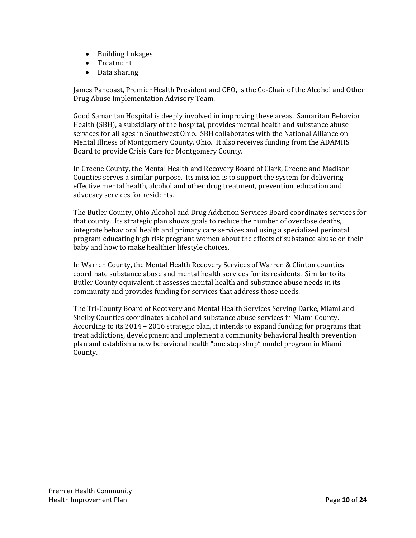- Building linkages
- Treatment
- Data sharing

James Pancoast, Premier Health President and CEO, is the Co-Chair of the Alcohol and Other Drug Abuse Implementation Advisory Team.

Good Samaritan Hospital is deeply involved in improving these areas. Samaritan Behavior Health (SBH), a subsidiary of the hospital, provides mental health and substance abuse services for all ages in Southwest Ohio. SBH collaborates with the National Alliance on Mental Illness of Montgomery County, Ohio. It also receives funding from the ADAMHS Board to provide Crisis Care for Montgomery County.

In Greene County, the Mental Health and Recovery Board of Clark, Greene and Madison Counties serves a similar purpose. Its mission is to support the system for delivering effective mental health, alcohol and other drug treatment, prevention, education and advocacy services for residents.

The Butler County, Ohio Alcohol and Drug Addiction Services Board coordinates services for that county. Its strategic plan shows goals to reduce the number of overdose deaths, integrate behavioral health and primary care services and using a specialized perinatal program educating high risk pregnant women about the effects of substance abuse on their baby and how to make healthier lifestyle choices.

In Warren County, the Mental Health Recovery Services of Warren & Clinton counties coordinate substance abuse and mental health services for its residents. Similar to its Butler County equivalent, it assesses mental health and substance abuse needs in its community and provides funding for services that address those needs.

The Tri-County Board of Recovery and Mental Health Services Serving Darke, Miami and Shelby Counties coordinates alcohol and substance abuse services in Miami County. According to its 2014 – 2016 strategic plan, it intends to expand funding for programs that treat addictions, development and implement a community behavioral health prevention plan and establish a new behavioral health "one stop shop" model program in Miami County.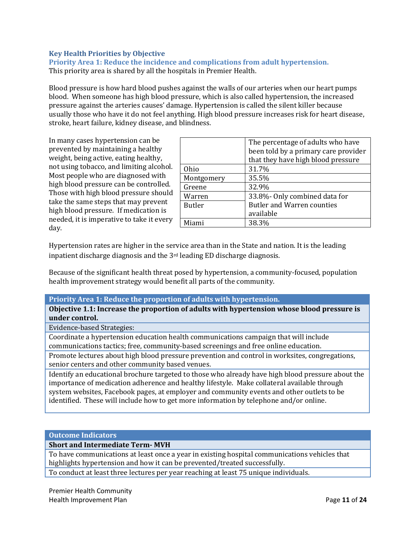# <span id="page-11-0"></span>**Key Health Priorities by Objective**

<span id="page-11-1"></span>**Priority Area 1: Reduce the incidence and complications from adult hypertension.** This priority area is shared by all the hospitals in Premier Health.

Blood pressure is how hard blood pushes against the walls of our arteries when our heart pumps blood. When someone has high blood pressure, which is also called hypertension, the increased pressure against the arteries causes' damage. Hypertension is called the silent killer because usually those who have it do not feel anything. High blood pressure increases risk for heart disease, stroke, heart failure, kidney disease, and blindness.

In many cases hypertension can be prevented by maintaining a healthy weight, being active, eating healthy, not using tobacco, and limiting alcohol. Most people who are diagnosed with high blood pressure can be controlled. Those with high blood pressure should take the same steps that may prevent high blood pressure. If medication is needed, it is imperative to take it every day.

| The percentage of adults who have    |
|--------------------------------------|
| been told by a primary care provider |
| that they have high blood pressure   |
| 31.7%                                |
| 35.5%                                |
| 32.9%                                |
| 33.8%- Only combined data for        |
| <b>Butler and Warren counties</b>    |
| available                            |
| 38.3%                                |
|                                      |

Hypertension rates are higher in the service area than in the State and nation. It is the leading inpatient discharge diagnosis and the 3rd leading ED discharge diagnosis.

Because of the significant health threat posed by hypertension, a community-focused, population health improvement strategy would benefit all parts of the community.

#### **Priority Area 1: Reduce the proportion of adults with hypertension.**

**Objective 1.1: Increase the proportion of adults with hypertension whose blood pressure is under control.**

Evidence-based Strategies:

Coordinate a hypertension education health communications campaign that will include communications tactics; free, community-based screenings and free online education.

Promote lectures about high blood pressure prevention and control in worksites, congregations, senior centers and other community based venues.

Identify an educational brochure targeted to those who already have high blood pressure about the importance of medication adherence and healthy lifestyle. Make collateral available through system websites, Facebook pages, at employer and community events and other outlets to be identified. These will include how to get more information by telephone and/or online.

**Outcome Indicators**

**Short and Intermediate Term- MVH**

To have communications at least once a year in existing hospital communications vehicles that highlights hypertension and how it can be prevented/treated successfully.

To conduct at least three lectures per year reaching at least 75 unique individuals.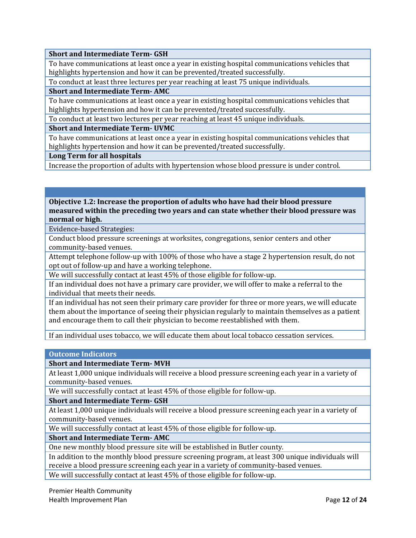## **Short and Intermediate Term- GSH**

To have communications at least once a year in existing hospital communications vehicles that highlights hypertension and how it can be prevented/treated successfully.

To conduct at least three lectures per year reaching at least 75 unique individuals.

#### **Short and Intermediate Term- AMC**

To have communications at least once a year in existing hospital communications vehicles that highlights hypertension and how it can be prevented/treated successfully.

To conduct at least two lectures per year reaching at least 45 unique individuals.

**Short and Intermediate Term- UVMC**

To have communications at least once a year in existing hospital communications vehicles that highlights hypertension and how it can be prevented/treated successfully.

**Long Term for all hospitals**

Increase the proportion of adults with hypertension whose blood pressure is under control.

# **Objective 1.2: Increase the proportion of adults who have had their blood pressure measured within the preceding two years and can state whether their blood pressure was normal or high.**

Evidence-based Strategies:

Conduct blood pressure screenings at worksites, congregations, senior centers and other community-based venues.

Attempt telephone follow-up with 100% of those who have a stage 2 hypertension result, do not opt out of follow-up and have a working telephone.

We will successfully contact at least 45% of those eligible for follow-up.

If an individual does not have a primary care provider, we will offer to make a referral to the individual that meets their needs.

If an individual has not seen their primary care provider for three or more years, we will educate them about the importance of seeing their physician regularly to maintain themselves as a patient and encourage them to call their physician to become reestablished with them.

If an individual uses tobacco, we will educate them about local tobacco cessation services.

#### **Outcome Indicators**

**Short and Intermediate Term- MVH**

At least 1,000 unique individuals will receive a blood pressure screening each year in a variety of community-based venues.

We will successfully contact at least 45% of those eligible for follow-up.

**Short and Intermediate Term- GSH**

At least 1,000 unique individuals will receive a blood pressure screening each year in a variety of community-based venues.

We will successfully contact at least 45% of those eligible for follow-up.

**Short and Intermediate Term- AMC**

One new monthly blood pressure site will be established in Butler county.

In addition to the monthly blood pressure screening program, at least 300 unique individuals will receive a blood pressure screening each year in a variety of community-based venues.

We will successfully contact at least 45% of those eligible for follow-up.

Premier Health Community Health Improvement Plan Page **12** of **24**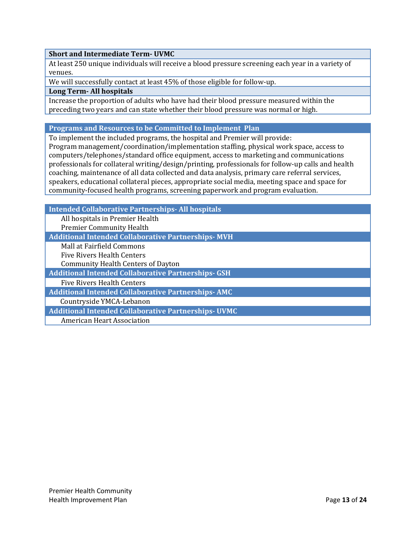## **Short and Intermediate Term- UVMC**

At least 250 unique individuals will receive a blood pressure screening each year in a variety of venues.

We will successfully contact at least 45% of those eligible for follow-up.

#### **Long Term- All hospitals**

Increase the proportion of adults who have had their blood pressure measured within the preceding two years and can state whether their blood pressure was normal or high.

#### **Programs and Resources to be Committed to Implement Plan**

To implement the included programs, the hospital and Premier will provide: Program management/coordination/implementation staffing, physical work space, access to computers/telephones/standard office equipment, access to marketing and communications professionals for collateral writing/design/printing, professionals for follow-up calls and health coaching, maintenance of all data collected and data analysis, primary care referral services,

speakers, educational collateral pieces, appropriate social media, meeting space and space for community-focused health programs, screening paperwork and program evaluation.

| <b>Intended Collaborative Partnerships - All hospitals</b> |
|------------------------------------------------------------|
| All hospitals in Premier Health                            |
| <b>Premier Community Health</b>                            |
| <b>Additional Intended Collaborative Partnerships-MVH</b>  |
| Mall at Fairfield Commons                                  |
| <b>Five Rivers Health Centers</b>                          |
| <b>Community Health Centers of Dayton</b>                  |
| <b>Additional Intended Collaborative Partnerships- GSH</b> |
| <b>Five Rivers Health Centers</b>                          |
| <b>Additional Intended Collaborative Partnerships- AMC</b> |
| Countryside YMCA-Lebanon                                   |
| <b>Additional Intended Collaborative Partnerships-UVMC</b> |
| American Heart Association                                 |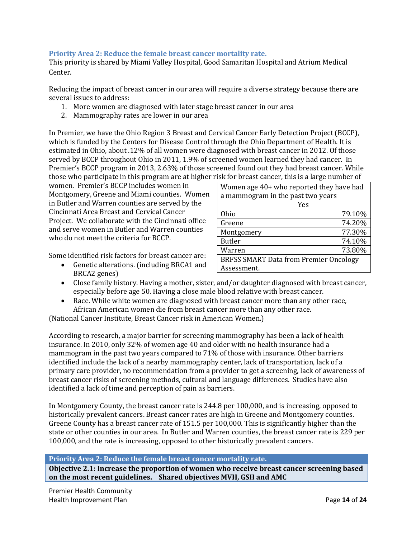# <span id="page-14-0"></span>**Priority Area 2: Reduce the female breast cancer mortality rate.**

This priority is shared by Miami Valley Hospital, Good Samaritan Hospital and Atrium Medical Center.

Reducing the impact of breast cancer in our area will require a diverse strategy because there are several issues to address:

- 1. More women are diagnosed with later stage breast cancer in our area
- 2. Mammography rates are lower in our area

In Premier, we have the Ohio Region 3 Breast and Cervical Cancer Early Detection Project (BCCP), which is funded by the Centers for Disease Control through the Ohio Department of Health. It is estimated in Ohio, about .12% of all women were diagnosed with breast cancer in 2012. Of those served by BCCP throughout Ohio in 2011, 1.9% of screened women learned they had cancer. In Premier's BCCP program in 2013, 2.63% of those screened found out they had breast cancer. While those who participate in this program are at higher risk for breast cancer, this is a large number of

women. Premier's BCCP includes women in Montgomery, Greene and Miami counties. Women in Butler and Warren counties are served by the Cincinnati Area Breast and Cervical Cancer Project. We collaborate with the Cincinnati office and serve women in Butler and Warren counties who do not meet the criteria for BCCP.

Some identified risk factors for breast cancer are:

• Genetic alterations. (including BRCA1 and BRCA2 genes)

| Women age 40+ who reported they have had      |        |  |
|-----------------------------------------------|--------|--|
| a mammogram in the past two years             |        |  |
|                                               | Yes    |  |
| <b>Ohio</b>                                   | 79.10% |  |
| Greene                                        | 74.20% |  |
| Montgomery                                    | 77.30% |  |
| <b>Butler</b>                                 | 74.10% |  |
| Warren                                        | 73.80% |  |
| <b>BRFSS SMART Data from Premier Oncology</b> |        |  |
| Assessment.                                   |        |  |
|                                               |        |  |

- Close family history. Having a mother, sister, and/or daughter diagnosed with breast cancer, especially before age 50. Having a close male blood relative with breast cancer.
- Race. While white women are diagnosed with breast cancer more than any other race, African American women die from breast cancer more than any other race.

(National Cancer Institute, Breast Cancer risk in American Women.)

According to research, a major barrier for screening mammography has been a lack of health insurance. In 2010, only 32% of women age 40 and older with no health insurance had a mammogram in the past two years compared to 71% of those with insurance. Other barriers identified include the lack of a nearby mammography center, lack of transportation, lack of a primary care provider, no recommendation from a provider to get a screening, lack of awareness of breast cancer risks of screening methods, cultural and language differences. Studies have also identified a lack of time and perception of pain as barriers.

In Montgomery County, the breast cancer rate is 244.8 per 100,000, and is increasing, opposed to historically prevalent cancers. Breast cancer rates are high in Greene and Montgomery counties. Greene County has a breast cancer rate of 151.5 per 100,000. This is significantly higher than the state or other counties in our area. In Butler and Warren counties, the breast cancer rate is 229 per 100,000, and the rate is increasing, opposed to other historically prevalent cancers.

#### **Priority Area 2: Reduce the female breast cancer mortality rate.**

**Objective 2.1: Increase the proportion of women who receive breast cancer screening based on the most recent guidelines. Shared objectives MVH, GSH and AMC**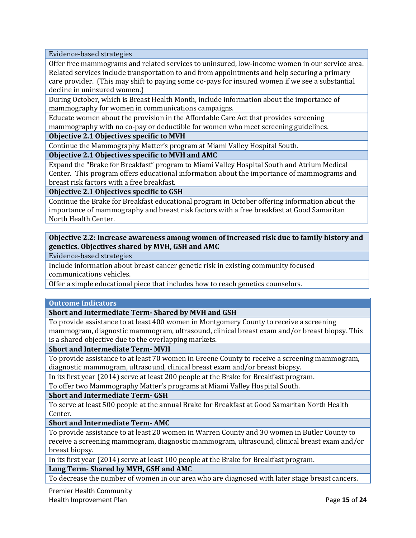Evidence-based strategies

Offer free mammograms and related services to uninsured, low-income women in our service area. Related services include transportation to and from appointments and help securing a primary care provider. (This may shift to paying some co-pays for insured women if we see a substantial decline in uninsured women.)

During October, which is Breast Health Month, include information about the importance of mammography for women in communications campaigns.

Educate women about the provision in the Affordable Care Act that provides screening mammography with no co-pay or deductible for women who meet screening guidelines.

**Objective 2.1 Objectives specific to MVH**

Continue the Mammography Matter's program at Miami Valley Hospital South.

**Objective 2.1 Objectives specific to MVH and AMC**

Expand the "Brake for Breakfast" program to Miami Valley Hospital South and Atrium Medical Center. This program offers educational information about the importance of mammograms and breast risk factors with a free breakfast.

**Objective 2.1 Objectives specific to GSH**

Continue the Brake for Breakfast educational program in October offering information about the importance of mammography and breast risk factors with a free breakfast at Good Samaritan North Health Center.

## **Objective 2.2: Increase awareness among women of increased risk due to family history and genetics. Objectives shared by MVH, GSH and AMC**

Evidence-based strategies

Include information about breast cancer genetic risk in existing community focused communications vehicles.

Offer a simple educational piece that includes how to reach genetics counselors.

#### **Outcome Indicators**

**Short and Intermediate Term- Shared by MVH and GSH**

To provide assistance to at least 400 women in Montgomery County to receive a screening mammogram, diagnostic mammogram, ultrasound, clinical breast exam and/or breast biopsy. This is a shared objective due to the overlapping markets.

**Short and Intermediate Term- MVH**

To provide assistance to at least 70 women in Greene County to receive a screening mammogram, diagnostic mammogram, ultrasound, clinical breast exam and/or breast biopsy.

In its first year (2014) serve at least 200 people at the Brake for Breakfast program.

To offer two Mammography Matter's programs at Miami Valley Hospital South.

**Short and Intermediate Term- GSH**

To serve at least 500 people at the annual Brake for Breakfast at Good Samaritan North Health Center.

**Short and Intermediate Term- AMC**

To provide assistance to at least 20 women in Warren County and 30 women in Butler County to receive a screening mammogram, diagnostic mammogram, ultrasound, clinical breast exam and/or breast biopsy.

In its first year (2014) serve at least 100 people at the Brake for Breakfast program.

**Long Term- Shared by MVH, GSH and AMC**

To decrease the number of women in our area who are diagnosed with later stage breast cancers.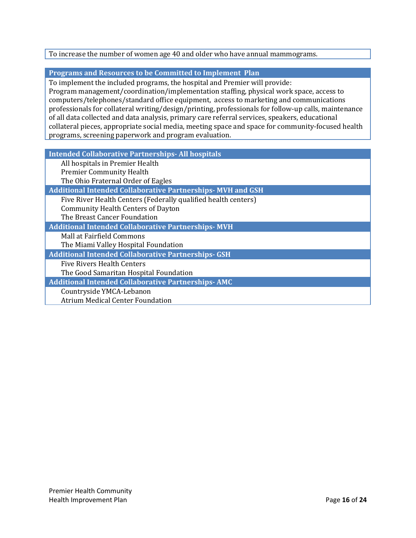# To increase the number of women age 40 and older who have annual mammograms.

# **Programs and Resources to be Committed to Implement Plan**

To implement the included programs, the hospital and Premier will provide:

Program management/coordination/implementation staffing, physical work space, access to computers/telephones/standard office equipment, access to marketing and communications professionals for collateral writing/design/printing, professionals for follow-up calls, maintenance of all data collected and data analysis, primary care referral services, speakers, educational collateral pieces, appropriate social media, meeting space and space for community-focused health programs, screening paperwork and program evaluation.

**Intended Collaborative Partnerships- All hospitals**

| All hospitals in Premier Health                                   |
|-------------------------------------------------------------------|
| <b>Premier Community Health</b>                                   |
| The Ohio Fraternal Order of Eagles                                |
| <b>Additional Intended Collaborative Partnerships-MVH and GSH</b> |
| Five River Health Centers (Federally qualified health centers)    |
| <b>Community Health Centers of Dayton</b>                         |
| The Breast Cancer Foundation                                      |
| <b>Additional Intended Collaborative Partnerships-MVH</b>         |
| Mall at Fairfield Commons                                         |
| The Miami Valley Hospital Foundation                              |
| <b>Additional Intended Collaborative Partnerships- GSH</b>        |
| <b>Five Rivers Health Centers</b>                                 |
| The Good Samaritan Hospital Foundation                            |
| <b>Additional Intended Collaborative Partnerships-AMC</b>         |
| Countryside YMCA-Lebanon                                          |
| <b>Atrium Medical Center Foundation</b>                           |
|                                                                   |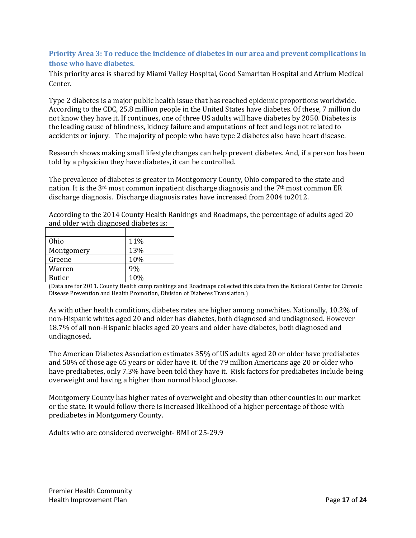# <span id="page-17-0"></span>**Priority Area 3: To reduce the incidence of diabetes in our area and prevent complications in those who have diabetes.**

This priority area is shared by Miami Valley Hospital, Good Samaritan Hospital and Atrium Medical Center.

Type 2 diabetes is a major public health issue that has reached epidemic proportions worldwide. According to the CDC, 25.8 million people in the United States have diabetes. Of these, 7 million do not know they have it. If continues, one of three US adults will have diabetes by 2050. Diabetes is the leading cause of blindness, kidney failure and amputations of feet and legs not related to accidents or injury. The majority of people who have type 2 diabetes also have heart disease.

Research shows making small lifestyle changes can help prevent diabetes. And, if a person has been told by a physician they have diabetes, it can be controlled.

The prevalence of diabetes is greater in Montgomery County, Ohio compared to the state and nation. It is the  $3<sup>rd</sup>$  most common inpatient discharge diagnosis and the 7<sup>th</sup> most common ER discharge diagnosis. Discharge diagnosis rates have increased from 2004 to2012.

According to the 2014 County Health Rankings and Roadmaps, the percentage of adults aged 20 and older with diagnosed diabetes is:

| 11% |
|-----|
| 13% |
| 10% |
| 9%  |
| 10% |
|     |

(Data are for 2011. County Health camp rankings and Roadmaps collected this data from the National Center for Chronic Disease Prevention and Health Promotion, Division of Diabetes Translation.)

As with other health conditions, diabetes rates are higher among nonwhites. Nationally, 10.2% of non-Hispanic whites aged 20 and older has diabetes, both diagnosed and undiagnosed. However 18.7% of all non-Hispanic blacks aged 20 years and older have diabetes, both diagnosed and undiagnosed.

The American Diabetes Association estimates 35% of US adults aged 20 or older have prediabetes and 50% of those age 65 years or older have it. Of the 79 million Americans age 20 or older who have prediabetes, only 7.3% have been told they have it. Risk factors for prediabetes include being overweight and having a higher than normal blood glucose.

Montgomery County has higher rates of overweight and obesity than other counties in our market or the state. It would follow there is increased likelihood of a higher percentage of those with prediabetes in Montgomery County.

Adults who are considered overweight- BMI of 25-29.9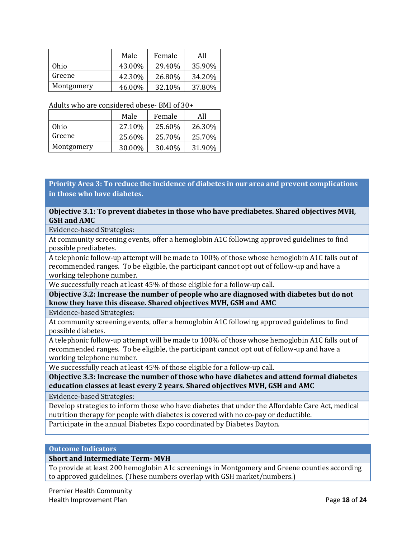|            | Male   | Female | All    |
|------------|--------|--------|--------|
| Ohio       | 43.00% | 29.40% | 35.90% |
| Greene     | 42.30% | 26.80% | 34.20% |
| Montgomery | 46.00% | 32.10% | 37.80% |

#### Adults who are considered obese- BMI of 30+

|            | Male    | Female | All    |
|------------|---------|--------|--------|
| Ohio       | 27.10\% | 25.60% | 26.30% |
| Greene     | 25.60%  | 25.70% | 25.70% |
| Montgomery | 30.00%  | 30.40% | 31.90% |

# **Priority Area 3: To reduce the incidence of diabetes in our area and prevent complications in those who have diabetes.**

#### **Objective 3.1: To prevent diabetes in those who have prediabetes. Shared objectives MVH, GSH and AMC**

Evidence-based Strategies:

At community screening events, offer a hemoglobin A1C following approved guidelines to find possible prediabetes.

A telephonic follow-up attempt will be made to 100% of those whose hemoglobin A1C falls out of recommended ranges. To be eligible, the participant cannot opt out of follow-up and have a working telephone number.

We successfully reach at least 45% of those eligible for a follow-up call.

**Objective 3.2: Increase the number of people who are diagnosed with diabetes but do not know they have this disease. Shared objectives MVH, GSH and AMC**

Evidence-based Strategies:

At community screening events, offer a hemoglobin A1C following approved guidelines to find possible diabetes.

A telephonic follow-up attempt will be made to 100% of those whose hemoglobin A1C falls out of recommended ranges. To be eligible, the participant cannot opt out of follow-up and have a working telephone number.

We successfully reach at least 45% of those eligible for a follow-up call.

**Objective 3.3: Increase the number of those who have diabetes and attend formal diabetes education classes at least every 2 years. Shared objectives MVH, GSH and AMC**

Evidence-based Strategies:

Develop strategies to inform those who have diabetes that under the Affordable Care Act, medical nutrition therapy for people with diabetes is covered with no co-pay or deductible.

Participate in the annual Diabetes Expo coordinated by Diabetes Dayton.

# **Outcome Indicators**

#### **Short and Intermediate Term- MVH**

To provide at least 200 hemoglobin A1c screenings in Montgomery and Greene counties according to approved guidelines. (These numbers overlap with GSH market/numbers.)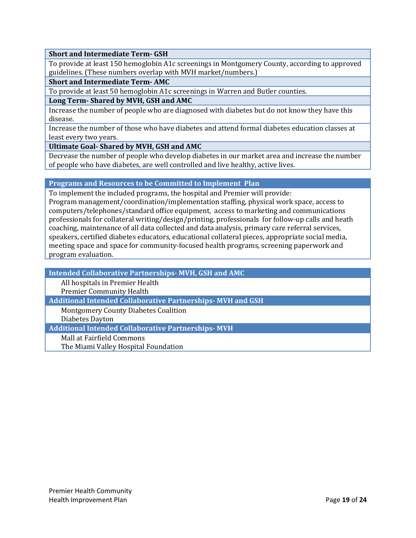#### **Short and Intermediate Term- GSH**

To provide at least 150 hemoglobin A1c screenings in Montgomery County, according to approved guidelines. (These numbers overlap with MVH market/numbers.)

#### **Short and Intermediate Term- AMC**

To provide at least 50 hemoglobin A1c screenings in Warren and Butler counties.

#### **Long Term- Shared by MVH, GSH and AMC**

Increase the number of people who are diagnosed with diabetes but do not know they have this disease.

Increase the number of those who have diabetes and attend formal diabetes education classes at least every two years.

**Ultimate Goal- Shared by MVH, GSH and AMC**

Decrease the number of people who develop diabetes in our market area and increase the number of people who have diabetes, are well controlled and live healthy, active lives.

#### **Programs and Resources to be Committed to Implement Plan**

To implement the included programs, the hospital and Premier will provide: Program management/coordination/implementation staffing, physical work space, access to computers/telephones/standard office equipment, access to marketing and communications professionals for collateral writing/design/printing, professionals for follow-up calls and heath coaching, maintenance of all data collected and data analysis, primary care referral services, speakers, certified diabetes educators, educational collateral pieces, appropriate social media, meeting space and space for community-focused health programs, screening paperwork and program evaluation.

**Intended Collaborative Partnerships- MVH, GSH and AMC** All hospitals in Premier Health Premier Community Health **Additional Intended Collaborative Partnerships- MVH and GSH**

Montgomery County Diabetes Coalition

Diabetes Dayton

**Additional Intended Collaborative Partnerships- MVH**

Mall at Fairfield Commons

The Miami Valley Hospital Foundation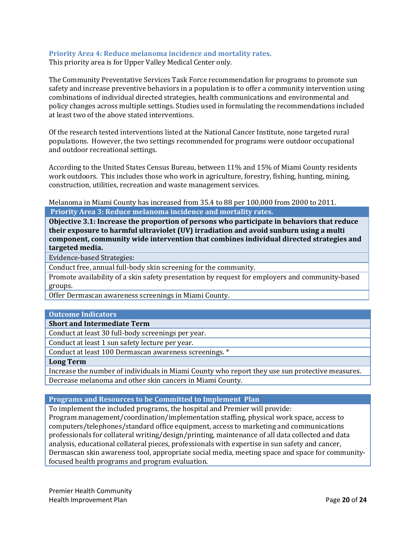## <span id="page-20-0"></span>**Priority Area 4: Reduce melanoma incidence and mortality rates.**

This priority area is for Upper Valley Medical Center only.

The Community Preventative Services Task Force recommendation for programs to promote sun safety and increase preventive behaviors in a population is to offer a community intervention using combinations of individual directed strategies, health communications and environmental and policy changes across multiple settings. Studies used in formulating the recommendations included at least two of the above stated interventions.

Of the research tested interventions listed at the National Cancer Institute, none targeted rural populations. However, the two settings recommended for programs were outdoor occupational and outdoor recreational settings.

According to the United States Census Bureau, between 11% and 15% of Miami County residents work outdoors. This includes those who work in agriculture, forestry, fishing, hunting, mining, construction, utilities, recreation and waste management services.

Melanoma in Miami County has increased from 35.4 to 88 per 100,000 from 2000 to 2011. **Priority Area 3: Reduce melanoma incidence and mortality rates.**

**Objective 3.1: Increase the proportion of persons who participate in behaviors that reduce their exposure to harmful ultraviolet (UV) irradiation and avoid sunburn using a multi component, community wide intervention that combines individual directed strategies and targeted media.**

Evidence-based Strategies:

Conduct free, annual full-body skin screening for the community.

Promote availability of a skin safety presentation by request for employers and community-based groups.

Offer Dermascan awareness screenings in Miami County.

## **Outcome Indicators**

**Short and Intermediate Term**

Conduct at least 30 full-body screenings per year.

Conduct at least 1 sun safety lecture per year.

Conduct at least 100 Dermascan awareness screenings. \*

**Long Term**

Increase the number of individuals in Miami County who report they use sun protective measures. Decrease melanoma and other skin cancers in Miami County.

#### **Programs and Resources to be Committed to Implement Plan**

To implement the included programs, the hospital and Premier will provide:

Program management/coordination/implementation staffing, physical work space, access to computers/telephones/standard office equipment, access to marketing and communications professionals for collateral writing/design/printing, maintenance of all data collected and data analysis, educational collateral pieces, professionals with expertise in sun safety and cancer, Dermascan skin awareness tool, appropriate social media, meeting space and space for communityfocused health programs and program evaluation.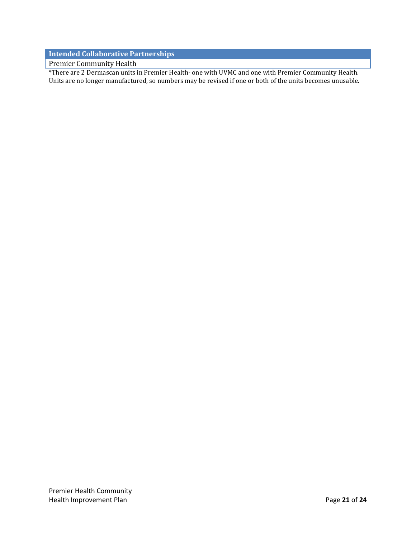# **Intended Collaborative Partnerships**

Premier Community Health

\*There are 2 Dermascan units in Premier Health- one with UVMC and one with Premier Community Health. Units are no longer manufactured, so numbers may be revised if one or both of the units becomes unusable.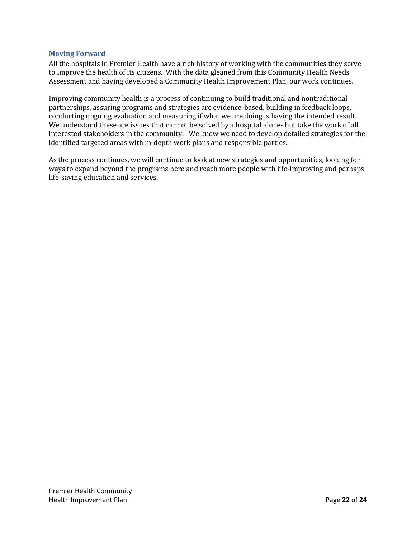#### <span id="page-22-0"></span>**Moving Forward**

All the hospitals in Premier Health have a rich history of working with the communities they serve to improve the health of its citizens. With the data gleaned from this Community Health Needs Assessment and having developed a Community Health Improvement Plan, our work continues.

Improving community health is a process of continuing to build traditional and nontraditional partnerships, assuring programs and strategies are evidence-based, building in feedback loops, conducting ongoing evaluation and measuring if what we are doing is having the intended result. We understand these are issues that cannot be solved by a hospital alone- but take the work of all interested stakeholders in the community. We know we need to develop detailed strategies for the identified targeted areas with in-depth work plans and responsible parties.

As the process continues, we will continue to look at new strategies and opportunities, looking for ways to expand beyond the programs here and reach more people with life-improving and perhaps life-saving education and services.